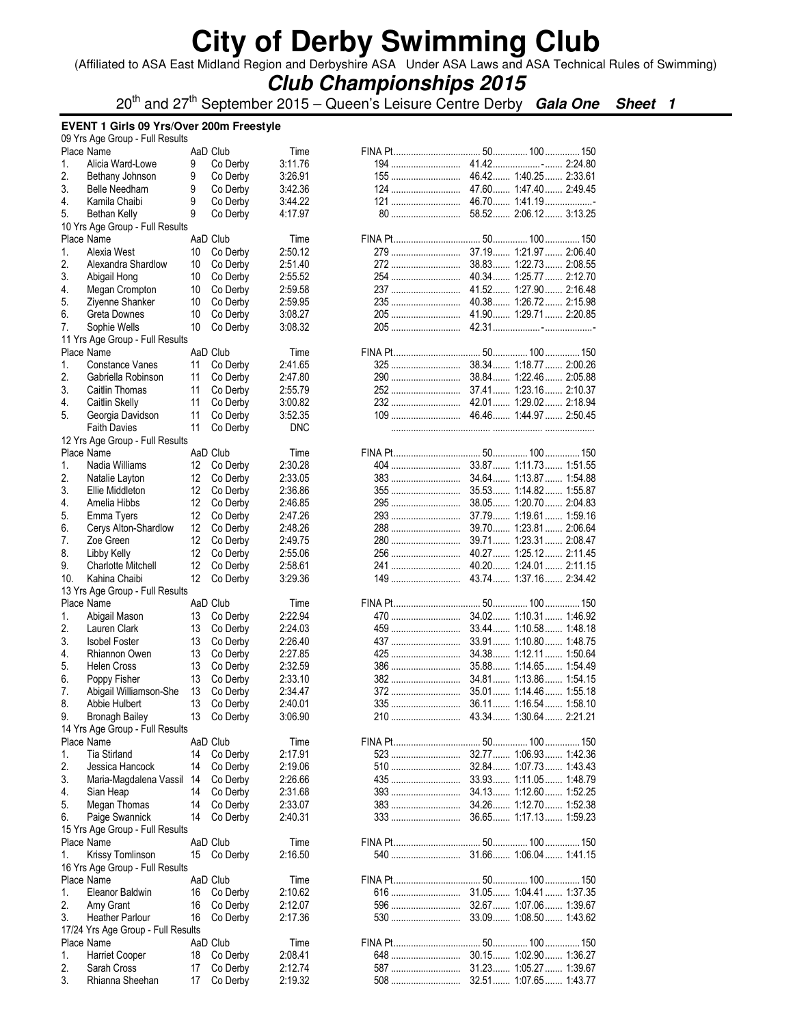(Affiliated to ASA East Midland Region and Derbyshire ASA Under ASA Laws and ASA Technical Rules of Swimming)

### **Club Championships 2015**

20<sup>th</sup> and 27<sup>th</sup> September 2015 – Queen's Leisure Centre Derby **Gala One Sheet 1** 

**EVENT 1 Girls 09 Yrs/Over 200m Freestyle** 

|     | 09 Yrs Age Group - Full Results    |    |             |            |            |                         |  |
|-----|------------------------------------|----|-------------|------------|------------|-------------------------|--|
|     | Place Name                         |    | AaD Club    | Time       |            |                         |  |
| 1.  | Alicia Ward-Lowe                   | 9  | Co Derby    | 3:11.76    |            |                         |  |
| 2.  | Bethany Johnson                    | 9  | Co Derby    | 3:26.91    | 155        | 46.42 1:40.25 2:33.61   |  |
| 3.  | <b>Belle Needham</b>               | 9  | Co Derby    | 3:42.36    |            |                         |  |
| 4.  | Kamila Chaibi                      | 9  | Co Derby    | 3:44.22    |            |                         |  |
| 5.  | Bethan Kelly                       | 9  | Co Derby    | 4:17.97    |            |                         |  |
|     | 10 Yrs Age Group - Full Results    |    |             |            |            |                         |  |
|     | Place Name                         |    | AaD Club    | Time       |            |                         |  |
| 1.  | Alexia West                        | 10 | Co Derby    | 2:50.12    | 279        | 37.19 1:21.97 2:06.40   |  |
| 2.  | Alexandra Shardlow                 | 10 | Co Derby    | 2:51.40    |            | 38.83 1:22.73 2:08.55   |  |
| 3.  | Abigail Hong                       | 10 | Co Derby    | 2:55.52    | 254        | 40.34  1:25.77  2:12.70 |  |
| 4.  | Megan Crompton                     | 10 | Co Derby    | 2:59.58    | 237        | 41.52 1:27.90 2:16.48   |  |
| 5.  | Zivenne Shanker                    | 10 | Co Derby    | 2:59.95    |            |                         |  |
| 6.  | Greta Downes                       | 10 | Co Derby    | 3:08.27    |            | 41.90 1:29.71 2:20.85   |  |
| 7.  | Sophie Wells                       | 10 | Co Derby    | 3:08.32    |            |                         |  |
|     | 11 Yrs Age Group - Full Results    |    |             |            |            |                         |  |
|     | Place Name                         |    | AaD Club    | Time       |            |                         |  |
| 1.  | Constance Vanes                    | 11 | Co Derby    | 2:41.65    | 325        | 38.34 1:18.77 2:00.26   |  |
| 2.  | Gabriella Robinson                 | 11 | Co Derby    | 2:47.80    | 290        | 38.84  1:22.46  2:05.88 |  |
| 3.  | Caitlin Thomas                     | 11 | Co Derby    | 2:55.79    | 252        | 37.41 1:23.16 2:10.37   |  |
| 4.  | Caitlin Skelly                     | 11 | Co Derby    | 3:00.82    |            |                         |  |
| 5.  |                                    | 11 | Co Derby    | 3:52.35    |            |                         |  |
|     | Georgia Davidson                   |    |             |            |            |                         |  |
|     | <b>Faith Davies</b>                | 11 | Co Derby    | <b>DNC</b> |            |                         |  |
|     | 12 Yrs Age Group - Full Results    |    |             |            |            |                         |  |
|     | Place Name                         |    | AaD Club    | Time       |            |                         |  |
| 1.  | Nadia Williams                     | 12 | Co Derby    | 2:30.28    |            | 33.87 1:11.73 1:51.55   |  |
| 2.  | Natalie Layton                     | 12 | Co Derby    | 2:33.05    | 383        | 34.64  1:13.87  1:54.88 |  |
| 3.  | Ellie Middleton                    | 12 | Co Derby    | 2:36.86    | 355        | 35.53 1:14.82 1:55.87   |  |
| 4.  | Amelia Hibbs                       | 12 | Co Derby    | 2:46.85    | 295        | 38.05 1:20.70 2:04.83   |  |
| 5.  | Emma Tyers                         | 12 | Co Derby    | 2:47.26    | 293        | 37.79 1:19.61 1:59.16   |  |
| 6.  | Cerys Alton-Shardlow               | 12 | Co Derby    | 2:48.26    | 288        | 39.70 1:23.81 2:06.64   |  |
| 7.  | Zoe Green                          | 12 | Co Derby    | 2:49.75    | 280        | 39.71 1:23.31 2:08.47   |  |
| 8.  | Libby Kelly                        | 12 | Co Derby    | 2:55.06    | 256        | 40.27  1:25.12  2:11.45 |  |
| 9.  | <b>Charlotte Mitchell</b>          | 12 | Co Derby    | 2:58.61    | 241        | 40.20 1:24.01 2:11.15   |  |
| 10. | Kahina Chaibi                      | 12 | Co Derby    | 3:29.36    | 149        | 43.74 1:37.16 2:34.42   |  |
|     | 13 Yrs Age Group - Full Results    |    |             |            |            |                         |  |
|     | Place Name                         |    | AaD Club    | Time       |            |                         |  |
| 1.  | Abigail Mason                      | 13 | Co Derby    | 2:22.94    | 470        | 34.02 1:10.31 1:46.92   |  |
| 2.  | Lauren Clark                       | 13 | Co Derby    | 2:24.03    | 459        | 33.44 1:10.58 1:48.18   |  |
| 3.  | <b>Isobel Foster</b>               | 13 | Co Derby    | 2:26.40    | 437        | 33.91 1:10.80 1:48.75   |  |
| 4.  | Rhiannon Owen                      | 13 | Co Derby    | 2:27.85    |            | 34.38 1:12.11 1:50.64   |  |
| 5.  | Helen Cross                        | 13 | Co Derby    | 2:32.59    |            | 35.88 1:14.65 1:54.49   |  |
| 6.  | Poppy Fisher                       | 13 | Co Derby    | 2:33.10    | 382        | 34.81 1:13.86 1:54.15   |  |
| 7.  | Abigail Williamson-She             | 13 | Co Derby    | 2:34.47    | 372        | 35.01 1:14.46 1:55.18   |  |
| 8.  | Abbie Hulbert                      | 13 | Co Derby    | 2:40.01    |            |                         |  |
| 9.  | <b>Bronagh Bailey</b>              | 13 | Co Derby    | 3:06.90    |            |                         |  |
|     |                                    |    |             |            |            |                         |  |
|     | 14 Yrs Age Group - Full Results    |    | AaD Club    |            |            |                         |  |
|     | Place Name                         |    |             | Time       |            | 32.77  1:06.93  1:42.36 |  |
| 1.  | <b>Tia Stirland</b>                | 14 | Co Derby    | 2:17.91    | 523        |                         |  |
| 2.  | Jessica Hancock                    | 14 | Co Derby    | 2:19.06    | 510        | 32.84  1:07.73  1:43.43 |  |
| 3.  | Maria-Magdalena Vassil             | 14 | Co Derby    | 2:26.66    | 435        | 33.93 1:11.05 1:48.79   |  |
| 4.  | Sian Heap                          | 14 | Co Derby    | 2:31.68    | <b>393</b> | 34.13 1:12.60 1:52.25   |  |
| 5.  | Megan Thomas                       | 14 | Co Derby    | 2:33.07    | 383        | 34.26 1:12.70 1:52.38   |  |
| 6.  | Paige Swannick                     | 14 | Co Derby    | 2:40.31    | <b>333</b> | 36.65 1:17.13 1:59.23   |  |
|     | 15 Yrs Age Group - Full Results    |    |             |            |            |                         |  |
|     | Place Name                         |    | AaD Club    | Time       |            |                         |  |
| 1.  | Krissy Tomlinson                   |    | 15 Co Derby | 2:16.50    | 540        | 31.66 1:06.04 1:41.15   |  |
|     | 16 Yrs Age Group - Full Results    |    |             |            |            |                         |  |
|     | Place Name                         |    | AaD Club    | Time       |            |                         |  |
| 1.  | Eleanor Baldwin                    | 16 | Co Derby    | 2:10.62    |            |                         |  |
| 2.  | Amy Grant                          | 16 | Co Derby    | 2:12.07    | 596        | 32.67  1:07.06  1:39.67 |  |
| 3.  | Heather Parlour                    | 16 | Co Derby    | 2:17.36    | 530        | 33.09 1:08.50 1:43.62   |  |
|     | 17/24 Yrs Age Group - Full Results |    |             |            |            |                         |  |
|     | Place Name                         |    | AaD Club    | Time       |            |                         |  |
| 1.  | <b>Harriet Cooper</b>              | 18 | Co Derby    | 2:08.41    | 648        | 30.15 1:02.90 1:36.27   |  |
| 2.  | Sarah Cross                        | 17 | Co Derby    | 2:12.74    | 587        | 31.23 1:05.27  1:39.67  |  |
| 3.  | Rhianna Sheehan                    | 17 | Co Derby    | 2:19.32    | 508        | 32.51 1:07.65 1:43.77   |  |
|     |                                    |    |             |            |            |                         |  |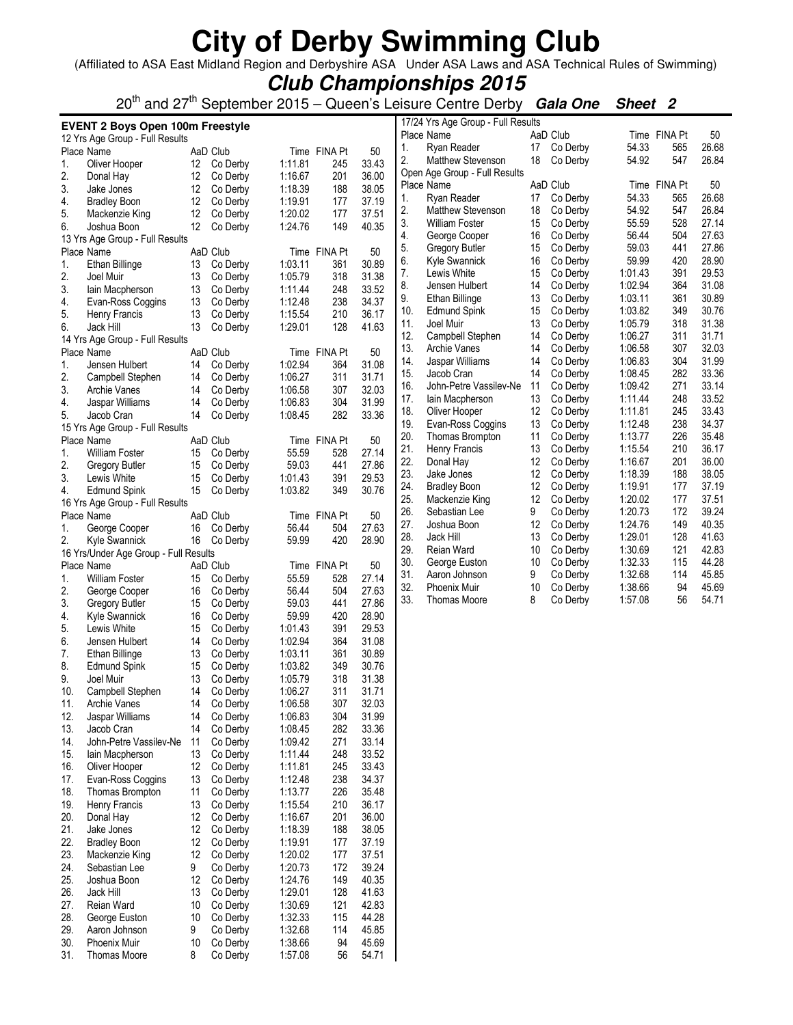(Affiliated to ASA East Midland Region and Derbyshire ASA Under ASA Laws and ASA Technical Rules of Swimming)

### **Club Championships 2015**

20<sup>th</sup> and 27<sup>th</sup> September 2015 – Queen's Leisure Centre Derby **Gala One Sheet 2** 

|            | <b>EVENT 2 Boys Open 100m Freestyle</b> |    |                      |                    |              |       |     | 17/24 Yrs Age Group - Full Results |    |          |         |              |       |
|------------|-----------------------------------------|----|----------------------|--------------------|--------------|-------|-----|------------------------------------|----|----------|---------|--------------|-------|
|            | 12 Yrs Age Group - Full Results         |    |                      |                    |              |       |     | Place Name                         |    | AaD Club |         | Time FINA Pt | 50    |
|            | Place Name                              |    | AaD Club             |                    | Time FINA Pt | 50    | 1.  | Ryan Reader                        | 17 | Co Derby | 54.33   | 565          | 26.68 |
| 1.         | Oliver Hooper                           | 12 | Co Derby             | 1:11.81            | 245          | 33.43 | 2.  | <b>Matthew Stevenson</b>           | 18 | Co Derby | 54.92   | 547          | 26.84 |
| 2.         | Donal Hay                               | 12 | Co Derby             | 1:16.67            | 201          | 36.00 |     | Open Age Group - Full Results      |    |          |         |              |       |
| 3.         | Jake Jones                              | 12 | Co Derby             | 1:18.39            | 188          | 38.05 |     | Place Name                         |    | AaD Club |         | Time FINA Pt | 50    |
| 4.         | <b>Bradley Boon</b>                     | 12 | Co Derby             | 1:19.91            | 177          | 37.19 | 1.  | Ryan Reader                        | 17 | Co Derby | 54.33   | 565          | 26.68 |
| 5.         |                                         | 12 | Co Derby             | 1:20.02            | 177          | 37.51 | 2.  | <b>Matthew Stevenson</b>           | 18 | Co Derby | 54.92   | 547          | 26.84 |
|            | Mackenzie King                          |    |                      | 1:24.76            |              | 40.35 | 3.  | <b>William Foster</b>              | 15 | Co Derby | 55.59   | 528          | 27.14 |
| 6.         | Joshua Boon                             | 12 | Co Derby             |                    | 149          |       | 4.  | George Cooper                      | 16 | Co Derby | 56.44   | 504          | 27.63 |
|            | 13 Yrs Age Group - Full Results         |    |                      |                    |              |       | 5.  | <b>Gregory Butler</b>              | 15 | Co Derby | 59.03   | 441          | 27.86 |
|            | Place Name                              |    | AaD Club             |                    | Time FINA Pt | 50    | 6.  | <b>Kyle Swannick</b>               | 16 | Co Derby | 59.99   | 420          | 28.90 |
| 1.         | Ethan Billinge                          | 13 | Co Derby             | 1:03.11            | 361          | 30.89 | 7.  | Lewis White                        | 15 | Co Derby | 1:01.43 | 391          | 29.53 |
| 2.         | Joel Muir                               | 13 | Co Derby             | 1:05.79            | 318          | 31.38 | 8.  |                                    | 14 | Co Derby | 1:02.94 | 364          | 31.08 |
| 3.         | lain Macpherson                         | 13 | Co Derby             | 1:11.44            | 248          | 33.52 | 9.  | Jensen Hulbert                     |    |          |         |              |       |
| 4.         | Evan-Ross Coggins                       | 13 | Co Derby             | 1:12.48            | 238          | 34.37 |     | Ethan Billinge                     | 13 | Co Derby | 1:03.11 | 361          | 30.89 |
| 5.         | Henry Francis                           | 13 | Co Derby             | 1:15.54            | 210          | 36.17 | 10. | <b>Edmund Spink</b>                | 15 | Co Derby | 1:03.82 | 349          | 30.76 |
| 6.         | Jack Hill                               | 13 | Co Derby             | 1:29.01            | 128          | 41.63 | 11. | Joel Muir                          | 13 | Co Derby | 1:05.79 | 318          | 31.38 |
|            | 14 Yrs Age Group - Full Results         |    |                      |                    |              |       | 12. | Campbell Stephen                   | 14 | Co Derby | 1:06.27 | 311          | 31.71 |
|            | Place Name                              |    | AaD Club             |                    | Time FINA Pt | 50    | 13. | <b>Archie Vanes</b>                | 14 | Co Derby | 1:06.58 | 307          | 32.03 |
| 1.         | Jensen Hulbert                          | 14 | Co Derby             | 1:02.94            | 364          | 31.08 | 14. | Jaspar Williams                    | 14 | Co Derby | 1:06.83 | 304          | 31.99 |
| 2.         | Campbell Stephen                        | 14 | Co Derby             | 1:06.27            | 311          | 31.71 | 15. | Jacob Cran                         | 14 | Co Derby | 1:08.45 | 282          | 33.36 |
| 3.         | Archie Vanes                            | 14 | Co Derby             | 1:06.58            | 307          | 32.03 | 16. | John-Petre Vassilev-Ne             | 11 | Co Derby | 1:09.42 | 271          | 33.14 |
| 4.         | Jaspar Williams                         | 14 | Co Derby             | 1:06.83            | 304          | 31.99 | 17. | lain Macpherson                    | 13 | Co Derby | 1:11.44 | 248          | 33.52 |
| 5.         | Jacob Cran                              | 14 | Co Derby             | 1:08.45            | 282          | 33.36 | 18. | Oliver Hooper                      | 12 | Co Derby | 1:11.81 | 245          | 33.43 |
|            | 15 Yrs Age Group - Full Results         |    |                      |                    |              |       | 19. | Evan-Ross Coggins                  | 13 | Co Derby | 1:12.48 | 238          | 34.37 |
|            | Place Name                              |    | AaD Club             |                    | Time FINA Pt | 50    | 20. | Thomas Brompton                    | 11 | Co Derby | 1:13.77 | 226          | 35.48 |
|            |                                         |    |                      |                    |              |       | 21. | Henry Francis                      | 13 | Co Derby | 1:15.54 | 210          | 36.17 |
| 1.         | <b>William Foster</b>                   | 15 | Co Derby             | 55.59              | 528          | 27.14 | 22. | Donal Hay                          | 12 | Co Derby | 1:16.67 | 201          | 36.00 |
| 2.         | Gregory Butler                          | 15 | Co Derby             | 59.03              | 441          | 27.86 | 23. | Jake Jones                         | 12 | Co Derby | 1:18.39 | 188          | 38.05 |
| 3.         | Lewis White                             | 15 | Co Derby             | 1:01.43            | 391          | 29.53 | 24. | <b>Bradley Boon</b>                | 12 | Co Derby | 1:19.91 | 177          | 37.19 |
| 4.         | <b>Edmund Spink</b>                     | 15 | Co Derby             | 1:03.82            | 349          | 30.76 | 25. | Mackenzie King                     | 12 | Co Derby | 1:20.02 | 177          | 37.51 |
|            | 16 Yrs Age Group - Full Results         |    |                      |                    |              |       | 26. |                                    | 9  |          | 1:20.73 | 172          | 39.24 |
|            | Place Name                              |    | AaD Club             |                    | Time FINA Pt | 50    |     | Sebastian Lee                      |    | Co Derby |         |              |       |
| 1.         | George Cooper                           | 16 | Co Derby             | 56.44              | 504          | 27.63 | 27. | Joshua Boon                        | 12 | Co Derby | 1:24.76 | 149          | 40.35 |
| 2.         | Kyle Swannick                           | 16 | Co Derby             | 59.99              | 420          | 28.90 | 28. | Jack Hill                          | 13 | Co Derby | 1:29.01 | 128          | 41.63 |
|            | 16 Yrs/Under Age Group - Full Results   |    |                      |                    |              |       | 29. | Reian Ward                         | 10 | Co Derby | 1:30.69 | 121          | 42.83 |
|            | Place Name                              |    | AaD Club             |                    | Time FINA Pt | 50    | 30. | George Euston                      | 10 | Co Derby | 1:32.33 | 115          | 44.28 |
| 1.         | <b>William Foster</b>                   | 15 | Co Derby             | 55.59              | 528          | 27.14 | 31. | Aaron Johnson                      | 9  | Co Derby | 1:32.68 | 114          | 45.85 |
| 2.         | George Cooper                           | 16 | Co Derby             | 56.44              | 504          | 27.63 | 32. | <b>Phoenix Muir</b>                | 10 | Co Derby | 1:38.66 | 94           | 45.69 |
| 3.         | <b>Gregory Butler</b>                   | 15 | Co Derby             | 59.03              | 441          | 27.86 | 33. | <b>Thomas Moore</b>                | 8  | Co Derby | 1:57.08 | 56           | 54.71 |
| 4.         | Kyle Swannick                           | 16 | Co Derby             | 59.99              | 420          | 28.90 |     |                                    |    |          |         |              |       |
| 5.         | Lewis White                             | 15 | Co Derby             | 1:01.43            | 391          | 29.53 |     |                                    |    |          |         |              |       |
| 6.         | Jensen Hulbert                          | 14 | Co Derby             | 1:02.94            | 364          | 31.08 |     |                                    |    |          |         |              |       |
| 7.         | Ethan Billinge                          | 13 | Co Derby             | 1:03.11            | 361          | 30.89 |     |                                    |    |          |         |              |       |
| 8.         | <b>Edmund Spink</b>                     | 15 | Co Derby             | 1:03.82            | 349          | 30.76 |     |                                    |    |          |         |              |       |
| 9.         | Joel Muir                               | 13 | Co Derby             | 1:05.79            | 318          | 31.38 |     |                                    |    |          |         |              |       |
| 10.        |                                         | 14 |                      |                    | 311          | 31.71 |     |                                    |    |          |         |              |       |
|            | Campbell Stephen                        |    | Co Derby<br>Co Derby | 1:06.27<br>1:06.58 |              |       |     |                                    |    |          |         |              |       |
| 11.<br>12. | Archie Vanes                            | 14 |                      |                    | 307<br>304   | 32.03 |     |                                    |    |          |         |              |       |
|            | Jaspar Williams                         | 14 | Co Derby             | 1:06.83            |              | 31.99 |     |                                    |    |          |         |              |       |
| 13.        | Jacob Cran                              | 14 | Co Derby             | 1:08.45            | 282          | 33.36 |     |                                    |    |          |         |              |       |
| 14.        | John-Petre Vassilev-Ne                  | 11 | Co Derby             | 1:09.42            | 271          | 33.14 |     |                                    |    |          |         |              |       |
| 15.        | lain Macpherson                         | 13 | Co Derby             | 1:11.44            | 248          | 33.52 |     |                                    |    |          |         |              |       |
| 16.        | Oliver Hooper                           | 12 | Co Derby             | 1:11.81            | 245          | 33.43 |     |                                    |    |          |         |              |       |
| 17.        | Evan-Ross Coggins                       | 13 | Co Derby             | 1:12.48            | 238          | 34.37 |     |                                    |    |          |         |              |       |
| 18.        | Thomas Brompton                         | 11 | Co Derby             | 1:13.77            | 226          | 35.48 |     |                                    |    |          |         |              |       |
| 19.        | Henry Francis                           | 13 | Co Derby             | 1:15.54            | 210          | 36.17 |     |                                    |    |          |         |              |       |
| 20.        | Donal Hay                               | 12 | Co Derby             | 1:16.67            | 201          | 36.00 |     |                                    |    |          |         |              |       |
| 21.        | Jake Jones                              | 12 | Co Derby             | 1:18.39            | 188          | 38.05 |     |                                    |    |          |         |              |       |
| 22.        | <b>Bradley Boon</b>                     | 12 | Co Derby             | 1:19.91            | 177          | 37.19 |     |                                    |    |          |         |              |       |
| 23.        | Mackenzie King                          | 12 | Co Derby             | 1:20.02            | 177          | 37.51 |     |                                    |    |          |         |              |       |
| 24.        | Sebastian Lee                           | 9  | Co Derby             | 1:20.73            | 172          | 39.24 |     |                                    |    |          |         |              |       |
| 25.        | Joshua Boon                             | 12 | Co Derby             | 1:24.76            | 149          | 40.35 |     |                                    |    |          |         |              |       |
| 26.        | Jack Hill                               | 13 | Co Derby             | 1:29.01            | 128          | 41.63 |     |                                    |    |          |         |              |       |
| 27.        | Reian Ward                              | 10 |                      | 1:30.69            | 121          |       |     |                                    |    |          |         |              |       |
|            |                                         |    | Co Derby             |                    |              | 42.83 |     |                                    |    |          |         |              |       |
| 28.        | George Euston                           | 10 | Co Derby             | 1:32.33            | 115          | 44.28 |     |                                    |    |          |         |              |       |
| 29.        | Aaron Johnson                           | 9  | Co Derby             | 1:32.68            | 114          | 45.85 |     |                                    |    |          |         |              |       |
| 30.        | Phoenix Muir                            | 10 | Co Derby             | 1:38.66            | 94           | 45.69 |     |                                    |    |          |         |              |       |
| 31.        | Thomas Moore                            | 8  | Co Derby             | 1:57.08            | 56           | 54.71 |     |                                    |    |          |         |              |       |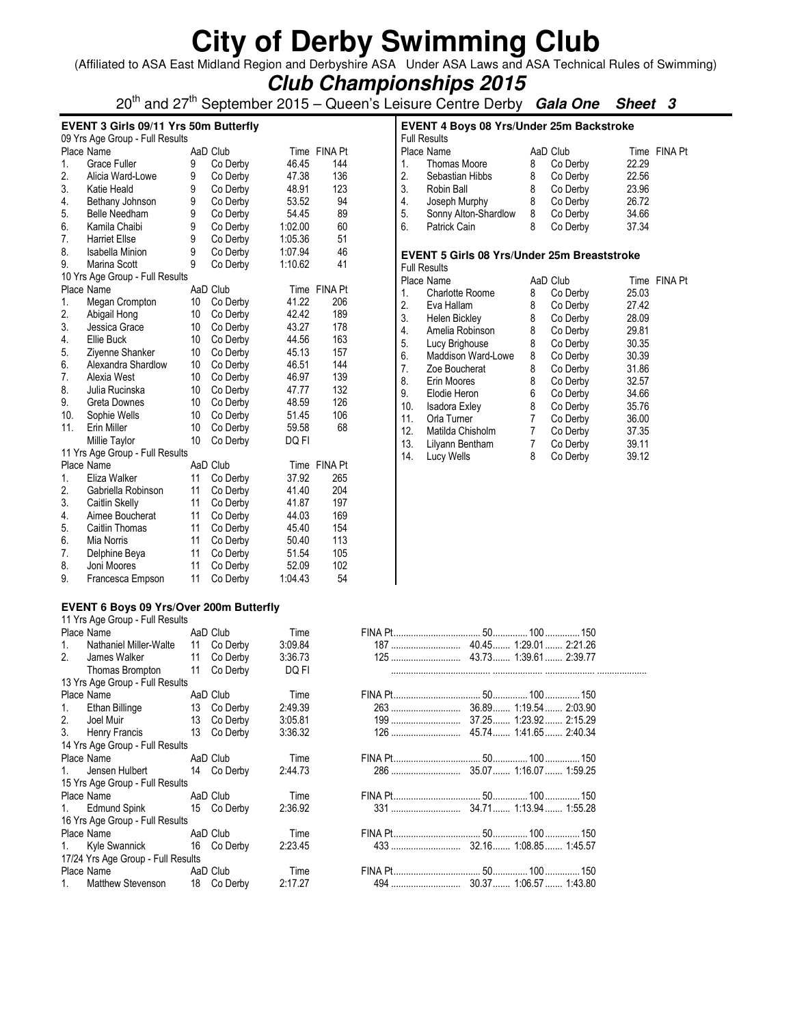(Affiliated to ASA East Midland Region and Derbyshire ASA Under ASA Laws and ASA Technical Rules of Swimming)

## **Club Championships 2015**

20th and 27th September 2015 – Queen's Leisure Centre Derby **Gala One Sheet 3**

#### **EVENT 3 Girls 09/11 Yrs 50m Butterfly**

|     | 09 Yrs Age Group - Full Results |    |          |         |                |
|-----|---------------------------------|----|----------|---------|----------------|
|     | Place Name                      |    | AaD Club |         | Time FINA Pt   |
| 1.  | <b>Grace Fuller</b>             | 9  | Co Derby | 46.45   | 144            |
| 2.  | Alicia Ward-Lowe                | 9  | Co Derby | 47.38   | 136            |
| 3.  | Katie Heald                     | 9  | Co Derby | 48.91   | 123            |
| 4.  | Bethany Johnson                 | 9  | Co Derby | 53.52   | 94             |
| 5.  | <b>Belle Needham</b>            | 9  | Co Derby | 54.45   | 89             |
| 6.  | Kamila Chaibi                   | 9  | Co Derby | 1:02.00 | 60             |
| 7.  | <b>Harriet Ellse</b>            | 9  | Co Derby | 1:05.36 | 51             |
| 8.  | <b>Isabella Minion</b>          | 9  | Co Derby | 1:07.94 | 46             |
| 9.  | Marina Scott                    | 9  | Co Derby | 1:10.62 | 41             |
|     | 10 Yrs Age Group - Full Results |    |          |         |                |
|     | Place Name                      |    | AaD Club |         | Time FINA Pt   |
| 1.  | Megan Crompton                  | 10 | Co Derby | 41.22   | 206            |
| 2.  | Abigail Hong                    | 10 | Co Derby | 42.42   | 189            |
| 3.  | Jessica Grace                   | 10 | Co Derby | 43.27   | 178            |
| 4.  | <b>Ellie Buck</b>               | 10 | Co Derby | 44.56   | 163            |
| 5.  | Ziyenne Shanker                 | 10 | Co Derby | 45.13   | 157            |
| 6.  | Alexandra Shardlow              | 10 | Co Derby | 46.51   | 144            |
| 7.  | Alexia West                     | 10 | Co Derby | 46.97   | 139            |
| 8.  | Julia Rucinska                  | 10 | Co Derby | 47.77   | 132            |
| 9.  | Greta Downes                    | 10 | Co Derby | 48.59   | 126            |
| 10. | Sophie Wells                    | 10 | Co Derby | 51.45   | 106            |
| 11. | Erin Miller                     | 10 | Co Derby | 59.58   | 68             |
|     | Millie Taylor                   | 10 | Co Derby | DQ FI   |                |
|     | 11 Yrs Age Group - Full Results |    |          |         |                |
|     | Place Name                      |    | AaD Club | Time    | <b>FINA Pt</b> |
| 1.  | Eliza Walker                    | 11 | Co Derby | 37.92   | 265            |
| 2.  | Gabriella Robinson              | 11 | Co Derby | 41.40   | 204            |
| 3.  | Caitlin Skelly                  | 11 | Co Derby | 41.87   | 197            |
| 4.  | Aimee Boucherat                 | 11 | Co Derby | 44.03   | 169            |
| 5.  | Caitlin Thomas                  | 11 | Co Derby | 45.40   | 154            |
| 6.  | Mia Norris                      | 11 | Co Derby | 50.40   | 113            |
| 7.  | Delphine Beya                   | 11 | Co Derby | 51.54   | 105            |
| 8.  | Joni Moores                     | 11 | Co Derby | 52.09   | 102            |
| 9.  | Francesca Empson                | 11 | Co Derby | 1:04.43 | 54             |

#### **EVENT 4 Boys 08 Yrs/Under 25m Backstroke**  Full Results AaD Club Time FINA Pt<br>8 Co Derby 22.29 1. Thomas Moore 8 Co Derby 22.29<br>2. Sebastian Hibbs 8 Co Derby 22.56 2. Sebastian Hibbs 8 Co Derby 22.56<br>3. Robin Ball 8 Co Derby 23.96 3. Robin Ball 8 Co Derby<br>4. Joseph Murphy 8 Co Derby 4. Joseph Murphy 8 Co Derby 26.72 5. Sonny Alton-Shardlow 8 Co Derby 34.66<br>6. Patrick Cain 8 Co Derby 37.34 Patrick Cain **EVENT 5 Girls 08 Yrs/Under 25m Breaststroke**  Full Results AaD Club Time FINA Pt 1. Charlotte Roome 8 Co Derby 25.03<br>2. Eva Hallam 8 Co Derby 27.42 2. Eva Hallam 8 Co Derby 27.42 3. Helen Bickley 8 Co Derby 28.09 4. Amelia Robinson 8 Co Derby 29.81 5. Lucy Brighouse 8 Co Derby 30.35 6. Maddison Ward-Lowe 8 Co Derby 30.39 7. Zoe Boucherat 8 Co Derby 31.86 8. Erin Moores 8 Co Derby 32.57

9. Elodie Heron 6 Co Derby 34.66 10. Isadora Exley 8 Co Derby 35.76 11. Orla Turner 7 Co Derby 36.00 12. Matilda Chisholm 7 Co Derby 37.35 13. Lilyann Bentham 7 Co Derby 39.11 14. Lucy Wells 8 Co Derby 39.12

#### **EVENT 6 Boys 09 Yrs/Over 200m Butterfly**

11 Yrs Age Group - Full Results 1. Nathaniel Miller-Walte 11 Co Derby 3:09.84<br>2. James Walker 11 Co Derby 3:36.73 2. James Walker 11 Co Derby 3:36.73 125 ............................ 43.73 ....... 1:39.61 ....... 2:39.77

| Thomas Brompton TT CO Derby        |             | <b>DU FI</b> |  |  |
|------------------------------------|-------------|--------------|--|--|
| 13 Yrs Age Group - Full Results    |             |              |  |  |
| Place Name <b>All Accords</b>      | AaD Club    | Time         |  |  |
| 1. Ethan Billinge                  | 13 Co Derby | 2:49.39      |  |  |
| 2. Joel Muir 13 Co Derby           |             | 3:05.81      |  |  |
| 3. Henry Francis 13 Co Derby       |             | 3:36.32      |  |  |
| 14 Yrs Age Group - Full Results    |             |              |  |  |
| Place Name <b>Allace</b>           | AaD Club    | Time         |  |  |
| 1. Jensen Hulbert                  | 14 Co Derby | 2:44.73      |  |  |
| 15 Yrs Age Group - Full Results    |             |              |  |  |
| Place Name <b>AaD</b> Club         |             | Time         |  |  |
| 1. Edmund Spink 15 Co Derby        |             | 2:36.92      |  |  |
| 16 Yrs Age Group - Full Results    |             |              |  |  |
| Place Name <b>AaD</b> Club         |             | Time         |  |  |
| 1. Kyle Swannick 16 Co Derby       |             | 2:23.45      |  |  |
| 17/24 Yrs Age Group - Full Results |             |              |  |  |
| Place Name <b>AaD</b> Club         |             | Time         |  |  |
| 1. Matthew Stevenson               | 18 Co Derby | 2:17.27      |  |  |

| 1 <sup>1</sup> | Nathaniel Miller-Walte             | 11 Co Derby | 3:09.84 |  |  |  |
|----------------|------------------------------------|-------------|---------|--|--|--|
| 2.             | James Walker                       | 11 Co Derby | 3:36.73 |  |  |  |
|                | Thomas Brompton                    | 11 Co Derby | DQ FI   |  |  |  |
|                | 13 Yrs Age Group - Full Results    |             |         |  |  |  |
|                | Place Name                         | AaD Club    | Time    |  |  |  |
| 1.             | Ethan Billinge                     | 13 Co Derby | 2:49.39 |  |  |  |
| 2.             | Joel Muir                          | 13 Co Derby | 3:05.81 |  |  |  |
|                | 3. Henry Francis                   | 13 Co Derby | 3:36.32 |  |  |  |
|                | 14 Yrs Age Group - Full Results    |             |         |  |  |  |
|                | Place Name                         | AaD Club    | Time    |  |  |  |
| 1.             | Jensen Hulbert                     | 14 Co Derby | 2:44.73 |  |  |  |
|                | 15 Yrs Age Group - Full Results    |             |         |  |  |  |
|                | Place Name                         | AaD Club    | Time    |  |  |  |
|                | 1. Edmund Spink                    | 15 Co Derby | 2:36.92 |  |  |  |
|                | 16 Yrs Age Group - Full Results    |             |         |  |  |  |
|                | Place Name                         | AaD Club    | Time    |  |  |  |
|                | 1. Kyle Swannick 16 Co Derby       |             | 2:23.45 |  |  |  |
|                | 17/24 Yrs Age Group - Full Results |             |         |  |  |  |
|                |                                    |             |         |  |  |  |

Place Name AaD Club Time FINA Pt ................................... 50 .............. 100 .............. 150

| Place Name                    | AaD Club | l ime   |  |  |
|-------------------------------|----------|---------|--|--|
| Matthew Stevenson 18 Co Derby |          | 2:17.27 |  |  |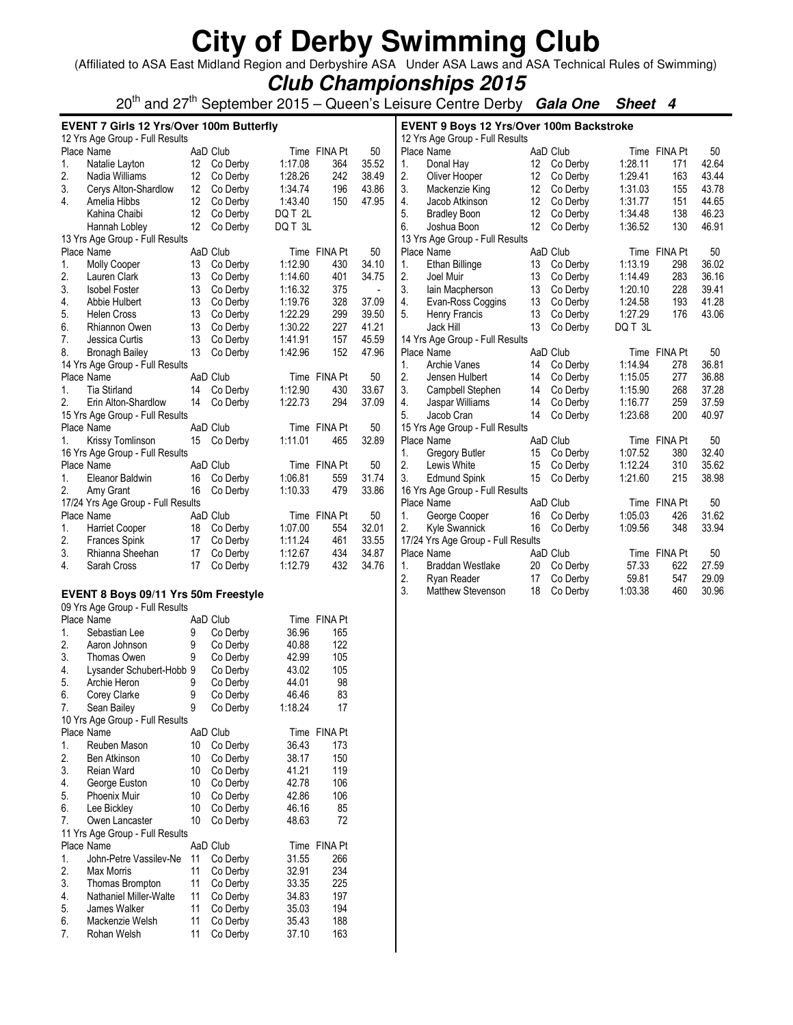(Affiliated to ASA East Midland Region and Derbyshire ASA Under ASA Laws and ASA Technical Rules of Swimming)

## **Club Championships 2015**

20th and 27th September 2015 – Queen's Leisure Centre Derby **Gala One Sheet 4**

|    | EVENT 7 Girls 12 Yrs/Over 100m Butterfly |    |                      |         |              |                |    | <b>EVENT 9 Boys 12 Yrs/Over 100m Backstroke</b> |    |             |         |              |       |
|----|------------------------------------------|----|----------------------|---------|--------------|----------------|----|-------------------------------------------------|----|-------------|---------|--------------|-------|
|    | 12 Yrs Age Group - Full Results          |    |                      |         |              |                |    | 12 Yrs Age Group - Full Results                 |    |             |         |              |       |
|    | Place Name                               |    | AaD Club             |         | Time FINA Pt | 50             |    | Place Name                                      |    | AaD Club    |         | Time FINA Pt | 50    |
| 1. | Natalie Layton                           |    | 12 Co Derby          | 1:17.08 | 364          | 35.52          | 1. | Donal Hay                                       | 12 | Co Derby    | 1:28.11 | 171          | 42.64 |
| 2. | Nadia Williams                           |    | 12 Co Derby          | 1:28.26 | 242          | 38.49          | 2. | Oliver Hooper                                   |    | 12 Co Derby | 1:29.41 | 163          | 43.44 |
| 3. | Cerys Alton-Shardlow                     | 12 | Co Derby             | 1:34.74 | 196          | 43.86          | 3. | Mackenzie King                                  | 12 | Co Derby    | 1:31.03 | 155          | 43.78 |
| 4. | Amelia Hibbs                             | 12 | Co Derby             | 1:43.40 | 150          | 47.95          | 4. | Jacob Atkinson                                  | 12 | Co Derby    | 1:31.77 | 151          | 44.65 |
|    | Kahina Chaibi                            | 12 | Co Derby             | DQ T 2L |              |                | 5. | <b>Bradley Boon</b>                             | 12 | Co Derby    | 1:34.48 | 138          | 46.23 |
|    | Hannah Lobley                            | 12 | Co Derby             | DQ T 3L |              |                | 6. | Joshua Boon                                     | 12 | Co Derby    | 1:36.52 | 130          | 46.91 |
|    | 13 Yrs Age Group - Full Results          |    |                      |         |              |                |    | 13 Yrs Age Group - Full Results                 |    |             |         |              |       |
|    | Place Name                               |    | AaD Club             |         | Time FINA Pt | 50             |    | Place Name                                      |    | AaD Club    |         | Time FINA Pt | 50    |
| 1. | Molly Cooper                             | 13 | Co Derby             | 1:12.90 | 430          | 34.10          | 1. | Ethan Billinge                                  | 13 | Co Derby    | 1:13.19 | 298          | 36.02 |
| 2. | Lauren Clark                             | 13 | Co Derby             | 1:14.60 | 401          | 34.75          | 2. | Joel Muir                                       | 13 | Co Derby    | 1:14.49 | 283          | 36.16 |
| 3. | <b>Isobel Foster</b>                     | 13 | Co Derby             | 1:16.32 | 375          | $\blacksquare$ | 3. | lain Macpherson                                 | 13 | Co Derby    | 1:20.10 | 228          | 39.41 |
| 4. | Abbie Hulbert                            | 13 | Co Derby             | 1:19.76 | 328          | 37.09          | 4. | Evan-Ross Coggins                               | 13 | Co Derby    | 1:24.58 | 193          | 41.28 |
| 5. | Helen Cross                              | 13 | Co Derby             | 1:22.29 | 299          | 39.50          | 5. | Henry Francis                                   | 13 | Co Derby    | 1:27.29 | 176          | 43.06 |
| 6. | Rhiannon Owen                            | 13 | Co Derby             | 1:30.22 | 227          | 41.21          |    | Jack Hill                                       | 13 | Co Derby    | DQ T 3L |              |       |
| 7. | Jessica Curtis                           | 13 | Co Derby             | 1:41.91 | 157          | 45.59          |    | 14 Yrs Age Group - Full Results                 |    |             |         |              |       |
| 8. | <b>Bronagh Bailey</b>                    | 13 | Co Derby             | 1:42.96 | 152          | 47.96          |    | Place Name                                      |    | AaD Club    |         | Time FINA Pt | 50    |
|    | 14 Yrs Age Group - Full Results          |    |                      |         |              |                | 1. | Archie Vanes                                    | 14 | Co Derby    | 1:14.94 | 278          | 36.81 |
|    | Place Name                               |    | AaD Club             |         | Time FINA Pt | 50             | 2. | Jensen Hulbert                                  | 14 | Co Derby    | 1:15.05 | 277          | 36.88 |
| 1. | <b>Tia Stirland</b>                      | 14 | Co Derby             | 1:12.90 | 430          | 33.67          | 3. | Campbell Stephen                                | 14 | Co Derby    | 1:15.90 | 268          | 37.28 |
| 2. | Erin Alton-Shardlow                      | 14 | Co Derby             | 1:22.73 | 294          | 37.09          | 4. | Jaspar Williams                                 | 14 | Co Derby    | 1:16.77 | 259          | 37.59 |
|    | 15 Yrs Age Group - Full Results          |    |                      |         |              |                | 5. | Jacob Cran                                      | 14 | Co Derby    | 1:23.68 | 200          | 40.97 |
|    |                                          |    | AaD Club             |         |              | 50             |    |                                                 |    |             |         |              |       |
|    | Place Name                               |    |                      |         | Time FINA Pt |                |    | 15 Yrs Age Group - Full Results                 |    |             |         |              |       |
| 1. | Krissy Tomlinson                         |    | 15 Co Derby          | 1:11.01 | 465          | 32.89          |    | Place Name                                      |    | AaD Club    |         | Time FINA Pt | 50    |
|    | 16 Yrs Age Group - Full Results          |    |                      |         |              |                | 1. | <b>Gregory Butler</b>                           | 15 | Co Derby    | 1:07.52 | 380          | 32.40 |
|    | Place Name                               |    | AaD Club             |         | Time FINA Pt | 50             | 2. | Lewis White                                     | 15 | Co Derby    | 1:12.24 | 310          | 35.62 |
| 1. | Eleanor Baldwin                          | 16 | Co Derby             | 1:06.81 | 559          | 31.74          | 3. | <b>Edmund Spink</b>                             | 15 | Co Derby    | 1:21.60 | 215          | 38.98 |
| 2. | Amy Grant                                | 16 | Co Derby             | 1:10.33 | 479          | 33.86          |    | 16 Yrs Age Group - Full Results                 |    |             |         |              |       |
|    | 17/24 Yrs Age Group - Full Results       |    |                      |         |              |                |    | Place Name                                      |    | AaD Club    |         | Time FINA Pt | 50    |
|    | Place Name                               |    | AaD Club             |         | Time FINA Pt | 50             | 1. | George Cooper                                   | 16 | Co Derby    | 1:05.03 | 426          | 31.62 |
| 1. | <b>Harriet Cooper</b>                    | 18 | Co Derby             | 1:07.00 | 554          | 32.01          | 2. | <b>Kyle Swannick</b>                            | 16 | Co Derby    | 1:09.56 | 348          | 33.94 |
| 2. | <b>Frances Spink</b>                     | 17 | Co Derby             | 1:11.24 | 461          | 33.55          |    | 17/24 Yrs Age Group - Full Results              |    |             |         |              |       |
| 3. | Rhianna Sheehan                          | 17 | Co Derby             | 1:12.67 | 434          | 34.87          |    | Place Name                                      |    | AaD Club    |         | Time FINA Pt | 50    |
| 4. | Sarah Cross                              | 17 | Co Derby             | 1:12.79 | 432          | 34.76          | 1. | Braddan Westlake                                | 20 | Co Derby    | 57.33   | 622          | 27.59 |
|    |                                          |    |                      |         |              |                | 2. | Ryan Reader                                     | 17 | Co Derby    | 59.81   | 547          | 29.09 |
|    | EVENT 8 Boys 09/11 Yrs 50m Freestyle     |    |                      |         |              |                | 3. | Matthew Stevenson                               | 18 | Co Derby    | 1:03.38 | 460          | 30.96 |
|    | 09 Yrs Age Group - Full Results          |    |                      |         |              |                |    |                                                 |    |             |         |              |       |
|    | Place Name                               |    | AaD Club             |         | Time FINA Pt |                |    |                                                 |    |             |         |              |       |
| 1. | Sebastian Lee                            | 9  |                      | 36.96   | 165          |                |    |                                                 |    |             |         |              |       |
| 2. | Aaron Johnson                            | 9  | Co Derby<br>Co Derby | 40.88   | 122          |                |    |                                                 |    |             |         |              |       |
|    |                                          |    |                      |         |              |                |    |                                                 |    |             |         |              |       |
| 3. | Thomas Owen                              | 9  | Co Derby             | 42.99   | 105          |                |    |                                                 |    |             |         |              |       |
| 4. | Lysander Schubert-Hobb 9                 |    | Co Derby             | 43.02   | 105          |                |    |                                                 |    |             |         |              |       |
| 5. | Archie Heron                             | 9  | Co Derby             | 44.01   | 98           |                |    |                                                 |    |             |         |              |       |
| 6. | Corey Clarke                             | 9  | Co Derby             | 46.46   | 83           |                |    |                                                 |    |             |         |              |       |
| 7. | Sean Bailey                              | 9  | Co Derby             | 1:18.24 | 17           |                |    |                                                 |    |             |         |              |       |
|    | 10 Yrs Age Group - Full Results          |    |                      |         |              |                |    |                                                 |    |             |         |              |       |
|    | Place Name                               |    | AaD Club             |         | Time FINA Pt |                |    |                                                 |    |             |         |              |       |
| 1. | Reuben Mason                             | 10 | Co Derby             | 36.43   | 173          |                |    |                                                 |    |             |         |              |       |
| 2. | Ben Atkinson                             | 10 | Co Derby             | 38.17   | 150          |                |    |                                                 |    |             |         |              |       |
| 3. | Reian Ward                               | 10 | Co Derby             | 41.21   | 119          |                |    |                                                 |    |             |         |              |       |
| 4. | George Euston                            | 10 | Co Derby             | 42.78   | 106          |                |    |                                                 |    |             |         |              |       |
| 5. | <b>Phoenix Muir</b>                      | 10 | Co Derby             | 42.86   | 106          |                |    |                                                 |    |             |         |              |       |
| 6. | Lee Bickley                              | 10 | Co Derby             | 46.16   | 85           |                |    |                                                 |    |             |         |              |       |
| 7. | Owen Lancaster                           | 10 | Co Derby             | 48.63   | 72           |                |    |                                                 |    |             |         |              |       |
|    | 11 Yrs Age Group - Full Results          |    |                      |         |              |                |    |                                                 |    |             |         |              |       |
|    | Place Name                               |    | AaD Club             |         | Time FINA Pt |                |    |                                                 |    |             |         |              |       |
| 1. | John-Petre Vassilev-Ne                   | 11 | Co Derby             | 31.55   | 266          |                |    |                                                 |    |             |         |              |       |
| 2. | Max Morris                               | 11 | Co Derby             | 32.91   | 234          |                |    |                                                 |    |             |         |              |       |
| 3. | Thomas Brompton                          | 11 | Co Derby             | 33.35   | 225          |                |    |                                                 |    |             |         |              |       |
| 4. | Nathaniel Miller-Walte                   | 11 | Co Derby             | 34.83   | 197          |                |    |                                                 |    |             |         |              |       |
|    |                                          |    |                      | 35.03   |              |                |    |                                                 |    |             |         |              |       |
| 5. | James Walker                             | 11 | Co Derby             |         | 194          |                |    |                                                 |    |             |         |              |       |
| 6. | Mackenzie Welsh                          | 11 | Co Derby             | 35.43   | 188          |                |    |                                                 |    |             |         |              |       |
| 7. | Rohan Welsh                              | 11 | Co Derby             | 37.10   | 163          |                |    |                                                 |    |             |         |              |       |
|    |                                          |    |                      |         |              |                |    |                                                 |    |             |         |              |       |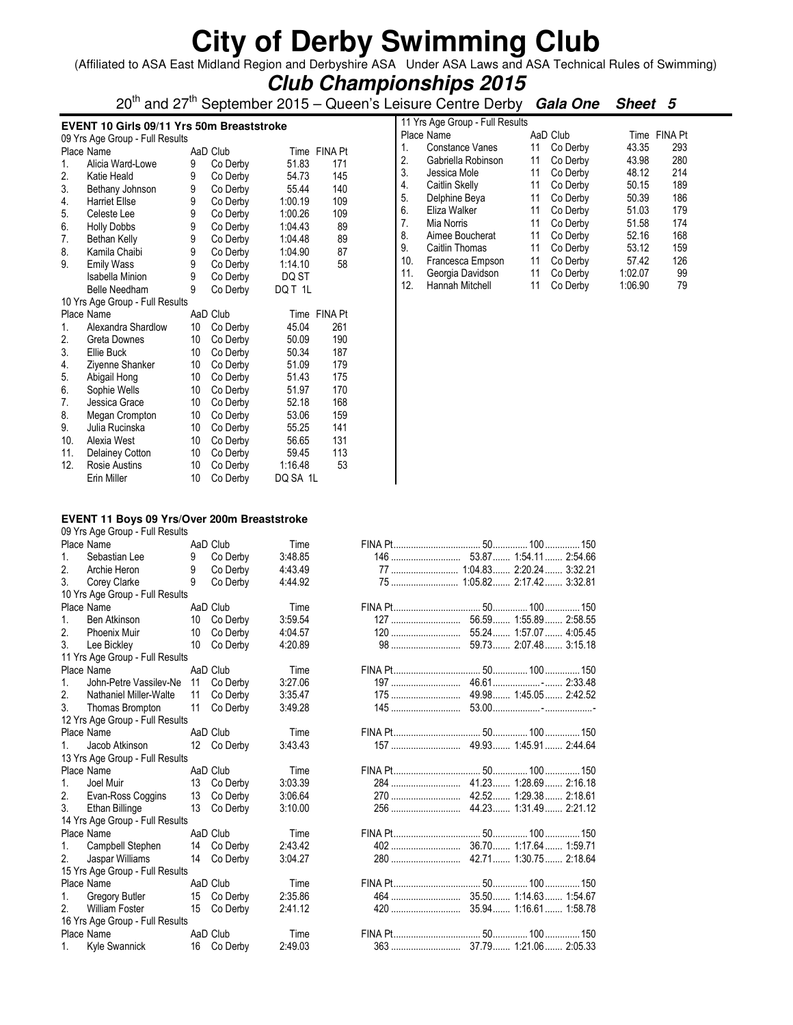(Affiliated to ASA East Midland Region and Derbyshire ASA Under ASA Laws and ASA Technical Rules of Swimming)

### **Club Championships 2015**

20<sup>th</sup> and 27<sup>th</sup> September 2015 – Queen's Leisure Centre Derby **Gala One Sheet 5** 

#### **EVENT 10 Girls 09/11 Yrs 50m Breaststroke**

|     | 09 Yrs Age Group - Full Results |                 |          |         |                |
|-----|---------------------------------|-----------------|----------|---------|----------------|
|     | Place Name                      |                 | AaD Club | Time    | <b>FINA Pt</b> |
| 1.  | Alicia Ward-Lowe                | 9               | Co Derby | 51.83   | 171            |
| 2.  | Katie Heald                     | 9               | Co Derby | 54.73   | 145            |
| 3.  | Bethany Johnson                 | 9               | Co Derby | 55.44   | 140            |
| 4.  | <b>Harriet Ellse</b>            | 9               | Co Derby | 1:00.19 | 109            |
| 5.  | Celeste Lee                     | 9               | Co Derby | 1:00.26 | 109            |
| 6.  | <b>Holly Dobbs</b>              | 9               | Co Derby | 1:04.43 | 89             |
| 7.  | Bethan Kelly                    | 9               | Co Derby | 1:04.48 | 89             |
| 8.  | Kamila Chaibi                   | 9               | Co Derby | 1:04.90 | 87             |
| 9.  | <b>Emily Wass</b>               | 9               | Co Derby | 1:14.10 | 58             |
|     | Isabella Minion                 | 9               | Co Derby | DQ ST   |                |
|     | Belle Needham                   | 9               | Co Derby | DQ T 1L |                |
|     | 10 Yrs Age Group - Full Results |                 |          |         |                |
|     |                                 |                 |          |         |                |
|     | Place Name                      |                 | AaD Club | Time    | <b>FINA Pt</b> |
| 1.  | Alexandra Shardlow              | 10              | Co Derby | 45.04   | 261            |
| 2.  | Greta Downes                    | 10              | Co Derby | 50.09   | 190            |
| 3.  | Ellie Buck                      | 10 <sup>1</sup> | Co Derby | 50.34   | 187            |
| 4.  | Ziyenne Shanker                 | 10              | Co Derby | 51.09   | 179            |
| 5.  | Abigail Hong                    | 10 <sup>1</sup> | Co Derby | 51.43   | 175            |
| 6.  | Sophie Wells                    | 10              | Co Derby | 51.97   | 170            |
| 7.  | Jessica Grace                   | 10              | Co Derby | 52.18   | 168            |
| 8.  | Megan Crompton                  | 10              | Co Derby | 53.06   | 159            |
| 9.  | Julia Rucinska                  | 10 <sup>1</sup> | Co Derby | 55.25   | 141            |
| 10. | Alexia West                     | 10              | Co Derby | 56.65   | 131            |
| 11. | Delainey Cotton                 | 10              | Co Derby | 59.45   | 113            |
| 12. | Rosie Austins                   | 10              | Co Derby | 1:16.48 | 53             |

|     | 11 Yrs Age Group - Full Results |    |          |         |                |
|-----|---------------------------------|----|----------|---------|----------------|
|     | Place Name                      |    | AaD Club | Time    | <b>FINA Pt</b> |
| 1.  | Constance Vanes                 | 11 | Co Derby | 43.35   | 293            |
| 2.  | Gabriella Robinson              | 11 | Co Derby | 43.98   | 280            |
| 3.  | Jessica Mole                    | 11 | Co Derby | 48.12   | 214            |
| 4.  | Caitlin Skelly                  | 11 | Co Derby | 50.15   | 189            |
| 5.  | Delphine Beya                   | 11 | Co Derby | 50.39   | 186            |
| 6.  | Eliza Walker                    | 11 | Co Derby | 51.03   | 179            |
| 7.  | Mia Norris                      | 11 | Co Derby | 51.58   | 174            |
| 8.  | Aimee Boucherat                 | 11 | Co Derby | 52.16   | 168            |
| 9.  | Caitlin Thomas                  | 11 | Co Derby | 53.12   | 159            |
| 10. | Francesca Empson                | 11 | Co Derby | 57.42   | 126            |
| 11. | Georgia Davidson                | 11 | Co Derby | 1:02.07 | 99             |
| 12. | Hannah Mitchell                 | 11 | Co Derby | 1:06.90 | 79             |

#### **EVENT 11 Boys 09 Yrs/Over 200m Breaststroke**

09 Yrs Age Group - Full Results

|    | Place Name                      |    | AaD Club    | Time    |     |                               |
|----|---------------------------------|----|-------------|---------|-----|-------------------------------|
| 1. | Sebastian Lee                   | 9  | Co Derby    | 3:48.85 |     |                               |
| 2. | Archie Heron                    | 9  | Co Derby    | 4:43.49 |     | 77  1:04.83  2:20.24  3:32.21 |
| 3. | Corey Clarke                    | 9  | Co Derby    | 4:44.92 |     | 75  1:05.82  2:17.42  3:32.81 |
|    | 10 Yrs Age Group - Full Results |    |             |         |     |                               |
|    | Place Name                      |    | AaD Club    | Time    |     |                               |
| 1. | <b>Ben Atkinson</b>             | 10 | Co Derby    | 3:59.54 |     | 56.59 1:55.89 2:58.55         |
| 2. | <b>Phoenix Muir</b>             | 10 | Co Derby    | 4:04.57 |     |                               |
| 3. | Lee Bickley                     | 10 | Co Derby    | 4:20.89 | 98  | 59.73 2:07.48 3:15.18         |
|    | 11 Yrs Age Group - Full Results |    |             |         |     |                               |
|    | Place Name                      |    | AaD Club    | Time    |     |                               |
| 1. | John-Petre Vassilev-Ne          | 11 | Co Derby    | 3:27.06 | 197 |                               |
| 2. | Nathaniel Miller-Walte          | 11 | Co Derby    | 3:35.47 |     | 49.98 1:45.05 2:42.52         |
| 3. | Thomas Brompton                 | 11 | Co Derby    | 3:49.28 |     |                               |
|    | 12 Yrs Age Group - Full Results |    |             |         |     |                               |
|    | Place Name                      |    | AaD Club    | Time    |     |                               |
|    | Jacob Atkinson                  |    | 12 Co Derby | 3:43.43 |     |                               |
|    | 13 Yrs Age Group - Full Results |    |             |         |     |                               |
|    | Place Name                      |    | AaD Club    | Time    |     |                               |
| 1. | Joel Muir                       | 13 | Co Derby    | 3:03.39 | 284 | 41.23 1:28.69 2:16.18         |
| 2. | Evan-Ross Coggins               | 13 | Co Derby    | 3:06.64 |     | 42.52 1:29.38 2:18.61         |
| 3. | Ethan Billinge                  | 13 | Co Derby    | 3:10.00 |     | 44.23 1:31.49 2:21.12         |
|    | 14 Yrs Age Group - Full Results |    |             |         |     |                               |
|    | Place Name                      |    | AaD Club    | Time    |     |                               |
| 1. | Campbell Stephen                | 14 | Co Derby    | 2:43.42 | 402 | 36.70 1:17.64 1:59.71         |
| 2. | Jaspar Williams                 | 14 | Co Derby    | 3:04.27 |     | 42.71 1:30.75 2:18.64         |
|    | 15 Yrs Age Group - Full Results |    |             |         |     |                               |
|    | Place Name                      |    | AaD Club    | Time    |     |                               |
| 1. | Gregory Butler                  | 15 | Co Derby    | 2:35.86 |     |                               |
| 2. | <b>William Foster</b>           | 15 | Co Derby    | 2:41.12 |     | 35.94 1:16.61 1:58.78         |
|    | 16 Yrs Age Group - Full Results |    |             |         |     |                               |
|    | Place Name                      |    | AaD Club    | Time    |     |                               |
| 1. | Kyle Swannick                   | 16 | Co Derby    | 2:49.03 |     |                               |

|     | 77  1:04.83  2:20.24  3:32.21 |
|-----|-------------------------------|
|     |                               |
|     |                               |
|     |                               |
|     |                               |
| 120 | 55.24  1:57.07  4:05.45       |
|     |                               |
|     |                               |
|     |                               |
|     |                               |
|     | 49.98 1:45.05 2:42.52         |
| 145 |                               |
|     |                               |
|     |                               |
|     |                               |
|     |                               |
|     |                               |
| 284 | 41.23 1:28.69 2:16.18         |
| 270 | 42.52 1:29.38 2:18.61         |
| 256 | 44.23 1:31.49 2:21.12         |
|     |                               |
|     |                               |
|     |                               |
| 280 | 42.71 1:30.75 2:18.64         |
|     |                               |
|     |                               |
|     |                               |
|     |                               |
|     |                               |
|     |                               |
|     |                               |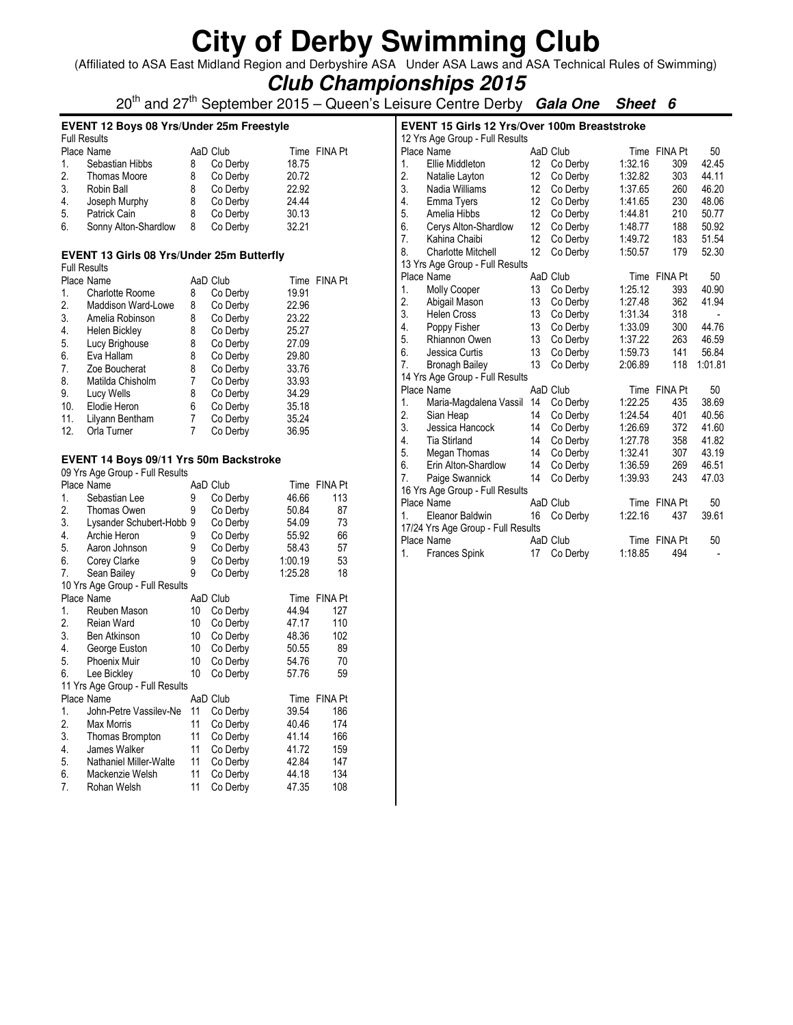(Affiliated to ASA East Midland Region and Derbyshire ASA Under ASA Laws and ASA Technical Rules of Swimming)

## **Club Championships 2015**

20th and 27th September 2015 – Queen's Leisure Centre Derby **Gala One Sheet 6**

### **EVENT 12 Boys 08 Yrs/Under 25m Freestyle**

| <b>Full Results</b>  |   |          |          |              |
|----------------------|---|----------|----------|--------------|
| Place Name           |   |          |          | Time FINA Pt |
| Sebastian Hibbs      | 8 | Co Derby | 18.75    |              |
| Thomas Moore         | 8 | Co Derby | 20.72    |              |
| Robin Ball           | 8 | Co Derby | 22.92    |              |
| Joseph Murphy        | 8 | Co Derby | 24.44    |              |
| Patrick Cain         | 8 | Co Derby | 30.13    |              |
| Sonny Alton-Shardlow | 8 | Co Derby | 32.21    |              |
|                      |   |          | AaD Club |              |

#### **EVENT 13 Girls 08 Yrs/Under 25m Butterfly**

|            | <b>Full Results</b> |   |          |       |              |
|------------|---------------------|---|----------|-------|--------------|
| Place Name |                     |   | AaD Club |       | Time FINA Pt |
| 1.         | Charlotte Roome     | 8 | Co Derby | 19.91 |              |
| 2.         | Maddison Ward-Lowe  | 8 | Co Derby | 22.96 |              |
| 3.         | Amelia Robinson     | 8 | Co Derby | 23.22 |              |
| 4.         | Helen Bickley       | 8 | Co Derby | 25.27 |              |
| 5.         | Lucy Brighouse      | 8 | Co Derby | 27.09 |              |
| 6.         | Eva Hallam          | 8 | Co Derby | 29.80 |              |
| 7.         | Zoe Boucherat       | 8 | Co Derby | 33.76 |              |
| 8.         | Matilda Chisholm    | 7 | Co Derby | 33.93 |              |
| 9.         | Lucy Wells          | 8 | Co Derby | 34.29 |              |
| 10.        | Elodie Heron        | 6 | Co Derby | 35.18 |              |
| 11.        | Lilyann Bentham     | 7 | Co Derby | 35.24 |              |
| 12.        | Orla Turner         | 7 | Co Derby | 36.95 |              |

#### **EVENT 14 Boys 09/11 Yrs 50m Backstroke**

| 09 Yrs Age Group - Full Results |                                 |    |          |         |                |  |  |  |
|---------------------------------|---------------------------------|----|----------|---------|----------------|--|--|--|
| Place Name                      |                                 |    | AaD Club |         | Time FINA Pt   |  |  |  |
| 1.                              | Sebastian Lee                   | 9  | Co Derby | 46.66   | 113            |  |  |  |
| 2.                              | Thomas Owen                     | 9  | Co Derby | 50.84   | 87             |  |  |  |
| 3.                              | Lysander Schubert-Hobb 9        |    | Co Derby | 54.09   | 73             |  |  |  |
| 4.                              | Archie Heron                    | 9  | Co Derby | 55.92   | 66             |  |  |  |
| 5.                              | Aaron Johnson                   | 9  | Co Derby | 58.43   | 57             |  |  |  |
| 6.                              | Corey Clarke                    | 9  | Co Derby | 1:00.19 | 53             |  |  |  |
| 7.                              | Sean Bailey                     | 9  | Co Derby | 1:25.28 | 18             |  |  |  |
|                                 | 10 Yrs Age Group - Full Results |    |          |         |                |  |  |  |
|                                 | Place Name                      |    | AaD Club | Time    | <b>FINA Pt</b> |  |  |  |
| 1.                              | Reuben Mason                    | 10 | Co Derby | 44.94   | 127            |  |  |  |
| 2.                              | Reian Ward                      | 10 | Co Derby | 47.17   | 110            |  |  |  |
| 3.                              | <b>Ben Atkinson</b>             | 10 | Co Derby | 48.36   | 102            |  |  |  |
| 4.                              | George Euston                   | 10 | Co Derby | 50.55   | 89             |  |  |  |
| 5.                              | Phoenix Muir                    | 10 | Co Derby | 54.76   | 70             |  |  |  |
| 6.                              | Lee Bickley                     | 10 | Co Derby | 57.76   | 59             |  |  |  |
|                                 | 11 Yrs Age Group - Full Results |    |          |         |                |  |  |  |
|                                 | Place Name                      |    | AaD Club | Time    | <b>FINA Pt</b> |  |  |  |
| 1.                              | John-Petre Vassilev-Ne          | 11 | Co Derby | 39.54   | 186            |  |  |  |
| 2.                              | Max Morris                      | 11 | Co Derby | 40.46   | 174            |  |  |  |
| 3.                              | Thomas Brompton                 | 11 | Co Derby | 41.14   | 166            |  |  |  |
| 4.                              | James Walker                    | 11 | Co Derby | 41.72   | 159            |  |  |  |
| 5.                              | Nathaniel Miller-Walte          | 11 | Co Derby | 42.84   | 147            |  |  |  |
| 6.                              | Mackenzie Welsh                 | 11 | Co Derby | 44.18   | 134            |  |  |  |
| 7.                              | Rohan Welsh                     | 11 | Co Derby | 47.35   | 108            |  |  |  |

| <b>EVENT 15 Girls 12 Yrs/Over 100m Breaststroke</b> |                                    |                 |          |         |              |         |  |  |  |  |
|-----------------------------------------------------|------------------------------------|-----------------|----------|---------|--------------|---------|--|--|--|--|
| 12 Yrs Age Group - Full Results                     |                                    |                 |          |         |              |         |  |  |  |  |
|                                                     | Place Name                         |                 | AaD Club |         | Time FINA Pt | 50      |  |  |  |  |
| 1.                                                  | Ellie Middleton                    | 12              | Co Derby | 1:32.16 | 309          | 42.45   |  |  |  |  |
| 2.                                                  | Natalie Layton                     | 12              | Co Derby | 1:32.82 | 303          | 44.11   |  |  |  |  |
| 3.                                                  | Nadia Williams                     | 12              | Co Derby | 1:37.65 | 260          | 46.20   |  |  |  |  |
| 4.                                                  | Emma Tyers                         | 12              | Co Derby | 1:41.65 | 230          | 48.06   |  |  |  |  |
| 5.                                                  | Amelia Hibbs                       | 12              | Co Derby | 1:44.81 | 210          | 50.77   |  |  |  |  |
| 6.                                                  | Cerys Alton-Shardlow               | 12 <sup>°</sup> | Co Derby | 1:48.77 | 188          | 50.92   |  |  |  |  |
| 7.                                                  | Kahina Chaibi                      | 12              | Co Derby | 1:49.72 | 183          | 51.54   |  |  |  |  |
| 8.                                                  | Charlotte Mitchell                 | 12              | Co Derby | 1:50.57 | 179          | 52.30   |  |  |  |  |
|                                                     | 13 Yrs Age Group - Full Results    |                 |          |         |              |         |  |  |  |  |
|                                                     | Place Name                         |                 | AaD Club |         | Time FINA Pt | 50      |  |  |  |  |
| 1.                                                  | Molly Cooper                       | 13              | Co Derby | 1:25.12 | 393          | 40.90   |  |  |  |  |
| 2.                                                  | Abigail Mason                      | 13              | Co Derby | 1:27.48 | 362          | 41.94   |  |  |  |  |
| 3.                                                  | <b>Helen Cross</b>                 | 13              | Co Derby | 1:31.34 | 318          |         |  |  |  |  |
| 4.                                                  | Poppy Fisher                       | 13              | Co Derby | 1:33.09 | 300          | 44.76   |  |  |  |  |
| 5.                                                  | <b>Rhiannon Owen</b>               | 13              | Co Derby | 1:37.22 | 263          | 46.59   |  |  |  |  |
| 6.                                                  | Jessica Curtis                     | 13              | Co Derby | 1:59.73 | 141          | 56.84   |  |  |  |  |
| 7.                                                  | <b>Bronagh Bailey</b>              | 13              | Co Derby | 2:06.89 | 118          | 1:01.81 |  |  |  |  |
|                                                     | 14 Yrs Age Group - Full Results    |                 |          |         |              |         |  |  |  |  |
|                                                     | Place Name                         |                 | AaD Club |         | Time FINA Pt | 50      |  |  |  |  |
| 1.                                                  | Maria-Magdalena Vassil             | 14              | Co Derby | 1:22.25 | 435          | 38.69   |  |  |  |  |
| 2.                                                  | Sian Heap                          | 14              | Co Derby | 1:24.54 | 401          | 40.56   |  |  |  |  |
| 3.                                                  | Jessica Hancock                    | 14              | Co Derby | 1:26.69 | 372          | 41.60   |  |  |  |  |
| 4.                                                  | <b>Tia Stirland</b>                | 14              | Co Derby | 1:27.78 | 358          | 41.82   |  |  |  |  |
| 5.                                                  | Megan Thomas                       | 14              | Co Derby | 1:32.41 | 307          | 43.19   |  |  |  |  |
| 6.                                                  | Erin Alton-Shardlow                | 14              | Co Derby | 1:36.59 | 269          | 46.51   |  |  |  |  |
| $\overline{7}$ .                                    | Paige Swannick                     | 14              | Co Derby | 1:39.93 | 243          | 47.03   |  |  |  |  |
|                                                     | 16 Yrs Age Group - Full Results    |                 |          |         |              |         |  |  |  |  |
|                                                     | Place Name                         |                 | AaD Club |         | Time FINA Pt | 50      |  |  |  |  |
| 1.                                                  | Eleanor Baldwin                    | 16              | Co Derby | 1:22.16 | 437          | 39.61   |  |  |  |  |
|                                                     | 17/24 Yrs Age Group - Full Results |                 |          |         |              |         |  |  |  |  |
|                                                     | Place Name                         |                 | AaD Club |         | Time FINA Pt | 50      |  |  |  |  |
| 1.                                                  | Frances Spink                      | 17              | Co Derby | 1:18.85 | 494          |         |  |  |  |  |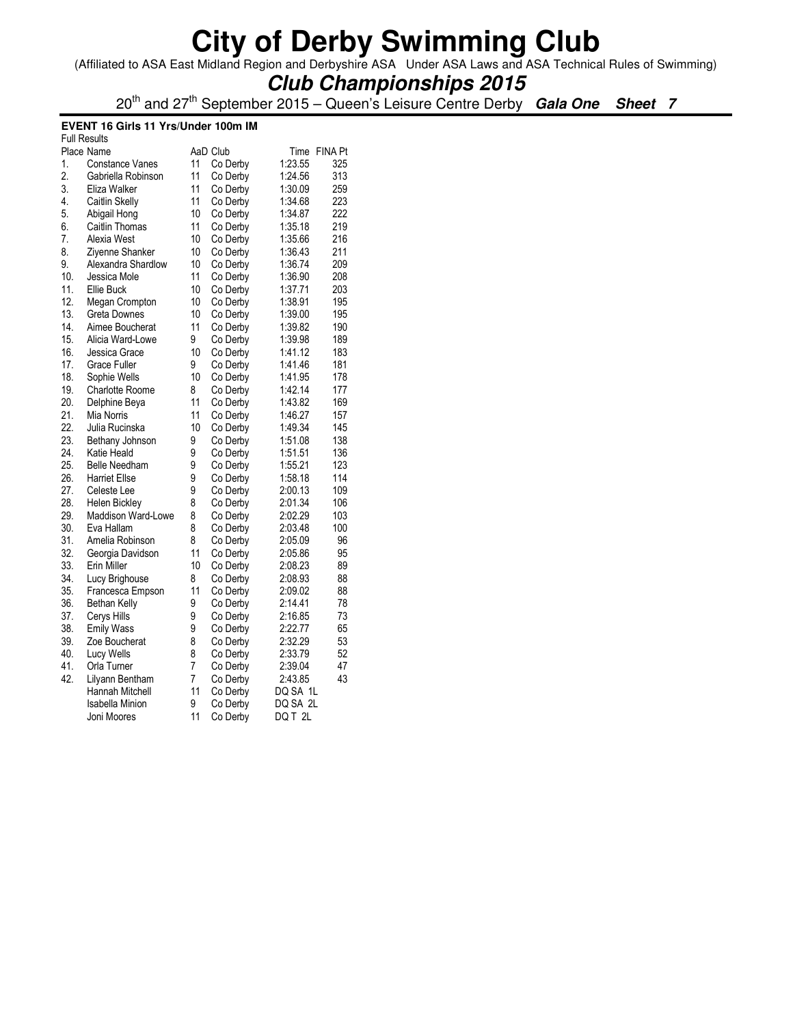(Affiliated to ASA East Midland Region and Derbyshire ASA Under ASA Laws and ASA Technical Rules of Swimming)

## **Club Championships 2015**

20th and 27th September 2015 – Queen's Leisure Centre Derby **Gala One Sheet 7**

#### **EVENT 16 Girls 11 Yrs/Under 100m IM**

| <b>Full Results</b> |                           |    |          |          |              |
|---------------------|---------------------------|----|----------|----------|--------------|
|                     | Place Name                |    | AaD Club |          | Time FINA Pt |
| 1.                  | <b>Constance Vanes</b>    | 11 | Co Derby | 1:23.55  | 325          |
| 2.                  | Gabriella Robinson        | 11 | Co Derby | 1:24.56  | 313          |
| 3.                  | Eliza Walker              | 11 | Co Derby | 1:30.09  | 259          |
| 4.                  | Caitlin Skelly            | 11 | Co Derby | 1:34.68  | 223          |
| 5.                  | Abigail Hong              | 10 | Co Derby | 1:34.87  | 222          |
| 6.                  | Caitlin Thomas            | 11 | Co Derby | 1:35.18  | 219          |
| 7.                  | Alexia West               | 10 | Co Derby | 1:35.66  | 216          |
| 8.                  | Zivenne Shanker           | 10 | Co Derby | 1:36.43  | 211          |
| 9.                  | Alexandra Shardlow        | 10 | Co Derby | 1:36.74  | 209          |
| 10.                 | Jessica Mole              | 11 | Co Derby | 1:36.90  | 208          |
| 11.                 | Ellie Buck                | 10 | Co Derby | 1:37.71  | 203          |
| 12.                 | <b>Megan Crompton</b>     | 10 | Co Derby | 1:38.91  | 195          |
| 13.                 | <b>Greta Downes</b>       | 10 | Co Derby | 1:39.00  | 195          |
| 14.                 | Aimee Boucherat           | 11 | Co Derby | 1:39.82  | 190          |
| 15.                 | Alicia Ward-Lowe          | 9  | Co Derby | 1:39.98  | 189          |
| 16.                 | Jessica Grace             | 10 | Co Derby | 1:41.12  | 183          |
| 17.                 | Grace Fuller              | 9  | Co Derby | 1:41.46  | 181          |
| 18.                 | Sophie Wells              | 10 | Co Derby | 1:41.95  | 178          |
| 19.                 | <b>Charlotte Roome</b>    | 8  | Co Derby | 1:42.14  | 177          |
| 20.                 | Delphine Beya             | 11 | Co Derby | 1:43.82  | 169          |
| 21.                 | Mia Norris                | 11 | Co Derby | 1:46.27  | 157          |
| 22.                 | Julia Rucinska            | 10 | Co Derby | 1:49.34  | 145          |
| 23.                 | Bethany Johnson           | 9  | Co Derby | 1:51.08  | 138          |
| 24.                 | Katie Heald               | 9  | Co Derby | 1:51.51  | 136          |
| 25.                 | <b>Belle Needham</b>      | 9  | Co Derby | 1:55.21  | 123          |
| 26.                 | <b>Harriet Ellse</b>      | 9  | Co Derby | 1:58.18  | 114          |
| 27.                 | Celeste Lee               | 9  | Co Derby | 2:00.13  | 109          |
| 28.                 | Helen Bickley             | 8  | Co Derby | 2:01.34  | 106          |
| 29.                 | <b>Maddison Ward-Lowe</b> | 8  | Co Derby | 2:02.29  | 103          |
| 30.                 | Eva Hallam                | 8  | Co Derby | 2:03.48  | 100          |
| 31.                 | Amelia Robinson           | 8  | Co Derby | 2:05.09  | 96           |
| 32.                 | Georgia Davidson          | 11 | Co Derby | 2:05.86  | 95           |
| 33.                 | Erin Miller               | 10 | Co Derby | 2:08.23  | 89           |
| 34.                 | Lucy Brighouse            | 8  | Co Derby | 2:08.93  | 88           |
| 35.                 | Francesca Empson          | 11 | Co Derby | 2:09.02  | 88           |
| 36.                 | <b>Bethan Kelly</b>       | 9  | Co Derby | 2:14.41  | 78           |
| 37.                 | Cerys Hills               | 9  | Co Derby | 2:16.85  | 73           |
| 38.                 | <b>Emily Wass</b>         | 9  | Co Derby | 2:22.77  | 65           |
| 39.                 | Zoe Boucherat             | 8  | Co Derby | 2:32.29  | 53           |
| 40.                 | Lucy Wells                | 8  | Co Derby | 2:33.79  | 52           |
| 41.                 | Orla Turner               | 7  | Co Derby | 2:39.04  | 47           |
| 42.                 | Lilyann Bentham           | 7  | Co Derby | 2:43.85  | 43           |
|                     | Hannah Mitchell           | 11 | Co Derby | DQ SA 1L |              |
|                     | <b>Isabella Minion</b>    | 9  | Co Derby | DQ SA 2L |              |
|                     | Joni Moores               | 11 | Co Derby | DQ T2L   |              |
|                     |                           |    |          |          |              |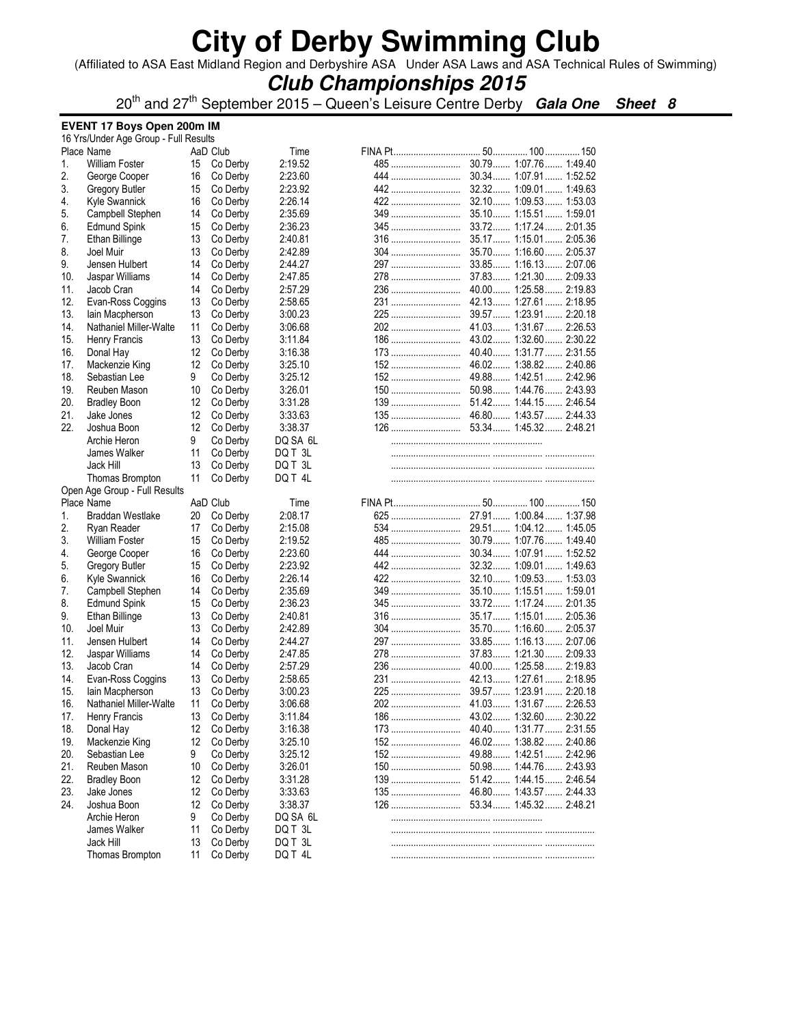(Affiliated to ASA East Midland Region and Derbyshire ASA Under ASA Laws and ASA Technical Rules of Swimming)

### **Club Championships 2015**

20th and 27th September 2015 – Queen's Leisure Centre Derby **Gala One Sheet 8**

#### **EVENT 17 Boys Open 200m IM**

|     | 16 Yrs/Under Age Group - Full Results |    |                      |          |            |                         |  |
|-----|---------------------------------------|----|----------------------|----------|------------|-------------------------|--|
|     | Place Name                            |    | AaD Club             | Time     |            |                         |  |
| 1.  | <b>William Foster</b>                 | 15 | Co Derby             | 2:19.52  | 485        | 30.79 1:07.76 1:49.40   |  |
| 2.  | George Cooper                         | 16 | Co Derby             | 2:23.60  | 444        | 30.34 1:07.91 1:52.52   |  |
| 3.  | Gregory Butler                        | 15 | Co Derby             | 2:23.92  | 442        | 32.32 1:09.01 1:49.63   |  |
| 4.  | Kyle Swannick                         | 16 | Co Derby             | 2:26.14  |            |                         |  |
| 5.  | Campbell Stephen                      | 14 | Co Derby             | 2:35.69  | 349        | 35.10 1:15.51 1:59.01   |  |
| 6.  | <b>Edmund Spink</b>                   | 15 | Co Derby             | 2:36.23  | 345        | 33.72 1:17.24 2:01.35   |  |
| 7.  | Ethan Billinge                        | 13 | Co Derby             | 2:40.81  | <b>316</b> | 35.17 1:15.01 2:05.36   |  |
| 8.  | Joel Muir                             | 13 | Co Derby             | 2:42.89  | 304        | 35.70 1:16.60 2:05.37   |  |
| 9.  | Jensen Hulbert                        | 14 | Co Derby             | 2:44.27  |            | 33.85 1:16.13 2:07.06   |  |
| 10. | Jaspar Williams                       | 14 | Co Derby             | 2:47.85  | 278        | 37.83 1:21.30 2:09.33   |  |
| 11. | Jacob Cran                            | 14 | Co Derby             | 2:57.29  | 236        | 40.00 1:25.58 2:19.83   |  |
| 12. | Evan-Ross Coggins                     | 13 | Co Derby             | 2:58.65  |            | 42.13 1:27.61 2:18.95   |  |
| 13. | lain Macpherson                       | 13 | Co Derby             | 3:00.23  | 225        | 39.57  1:23.91  2:20.18 |  |
| 14. | Nathaniel Miller-Walte                | 11 | Co Derby             | 3:06.68  |            | 41.03 1:31.67 2:26.53   |  |
| 15. | Henry Francis                         | 13 | Co Derby             | 3:11.84  | 186        | 43.02 1:32.60 2:30.22   |  |
| 16. | Donal Hay                             | 12 | Co Derby             | 3:16.38  | 173        | 40.40 1:31.77  2:31.55  |  |
| 17. | Mackenzie King                        | 12 | Co Derby             | 3:25.10  |            |                         |  |
| 18. | Sebastian Lee                         | 9  | Co Derby             | 3:25.12  | 152        | 49.88 1:42.51 2:42.96   |  |
| 19. | Reuben Mason                          | 10 | Co Derby             | 3:26.01  |            |                         |  |
| 20. |                                       |    |                      |          |            |                         |  |
|     | <b>Bradley Boon</b>                   | 12 | Co Derby             | 3:31.28  |            |                         |  |
| 21. | Jake Jones                            | 12 | Co Derby             | 3:33.63  |            |                         |  |
| 22. | Joshua Boon                           | 12 | Co Derby             | 3:38.37  |            |                         |  |
|     | Archie Heron                          | 9  | Co Derby             | DQ SA 6L |            |                         |  |
|     | James Walker                          | 11 | Co Derby             | DQ T 3L  |            |                         |  |
|     | Jack Hill                             | 13 | Co Derby             | DQ T 3L  |            |                         |  |
|     | Thomas Brompton                       | 11 | Co Derby             | DQ T 4L  |            |                         |  |
|     | Open Age Group - Full Results         |    |                      |          |            |                         |  |
|     | Place Name                            |    | AaD Club             | Time     |            |                         |  |
| 1.  | Braddan Westlake                      | 20 | Co Derby             | 2:08.17  |            |                         |  |
| 2.  | Ryan Reader                           | 17 | Co Derby             | 2:15.08  |            |                         |  |
| 3.  | <b>William Foster</b>                 | 15 | Co Derby             | 2:19.52  | 485        | 30.79 1:07.76 1:49.40   |  |
| 4.  | George Cooper                         | 16 | Co Derby             | 2:23.60  | 444        | 30.34 1:07.91 1:52.52   |  |
| 5.  | Gregory Butler                        | 15 | Co Derby             | 2:23.92  |            |                         |  |
| 6.  | Kyle Swannick                         | 16 | Co Derby             | 2:26.14  |            | 32.10 1:09.53 1:53.03   |  |
| 7.  | Campbell Stephen                      | 14 | Co Derby             | 2:35.69  | 349        | 35.10 1:15.51 1:59.01   |  |
| 8.  | <b>Edmund Spink</b>                   | 15 | Co Derby             | 2:36.23  | 345        | 33.72 1:17.24 2:01.35   |  |
| 9.  | Ethan Billinge                        | 13 | Co Derby             | 2:40.81  | 316        | 35.17  1:15.01  2:05.36 |  |
| 10. | Joel Muir                             | 13 | Co Derby             | 2:42.89  |            | 35.70 1:16.60 2:05.37   |  |
| 11. | Jensen Hulbert                        | 14 | Co Derby             | 2:44.27  |            | 33.85 1:16.13 2:07.06   |  |
| 12. | Jaspar Williams                       | 14 | Co Derby             | 2:47.85  | 278        | 37.83 1:21.30 2:09.33   |  |
| 13. | Jacob Cran                            | 14 | Co Derby             | 2:57.29  |            | 40.00 1:25.58 2:19.83   |  |
| 14. | Evan-Ross Coggins                     | 13 | Co Derby             | 2:58.65  |            | 42.13 1:27.61 2:18.95   |  |
| 15. | lain Macpherson                       | 13 | Co Derby             | 3:00.23  |            |                         |  |
| 16. | Nathaniel Miller-Walte                | 11 | Co Derby             | 3:06.68  |            |                         |  |
| 17. | Henry Francis                         | 13 | Co Derby             | 3:11.84  |            |                         |  |
| 18. | Donal Hay                             | 12 | Co Derby             | 3:16.38  |            |                         |  |
| 19. | Mackenzie King                        | 12 |                      | 3:25.10  | 152        | 46.02 1:38.82 2:40.86   |  |
| 20. | Sebastian Lee                         | 9  | Co Derby<br>Co Derby | 3:25.12  | 152        | 49.88 1:42.51 2:42.96   |  |
| 21. | Reuben Mason                          |    |                      |          |            |                         |  |
|     |                                       | 10 | Co Derby             | 3:26.01  |            |                         |  |
| 22. | <b>Bradley Boon</b>                   | 12 | Co Derby             | 3:31.28  |            |                         |  |
| 23. | Jake Jones                            | 12 | Co Derby             | 3:33.63  |            |                         |  |
| 24. | Joshua Boon                           | 12 | Co Derby             | 3:38.37  |            |                         |  |
|     | Archie Heron                          | 9  | Co Derby             | DQ SA 6L |            |                         |  |
|     | James Walker                          | 11 | Co Derby             | DQ T 3L  |            |                         |  |
|     | Jack Hill                             | 13 | Co Derby             | DQ T 3L  |            |                         |  |
|     | Thomas Brompton                       | 11 | Co Derby             | DQ T 4L  |            |                         |  |